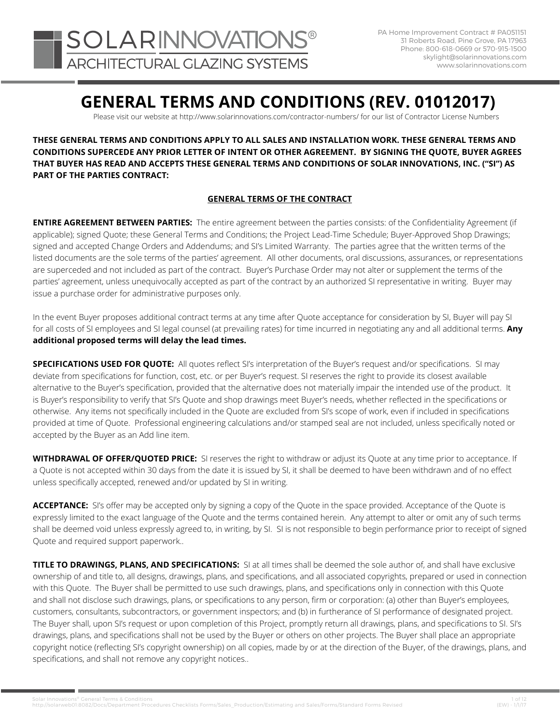# **GENERAL TERMS AND CONDITIONS (REV. 01012017)**

Please visit our website at http://www.solarinnovations.com/contractor-numbers/ for our list of Contractor License Numbers

### **THESE GENERAL TERMS AND CONDITIONS APPLY TO ALL SALES AND INSTALLATION WORK. THESE GENERAL TERMS AND CONDITIONS SUPERCEDE ANY PRIOR LETTER OF INTENT OR OTHER AGREEMENT. BY SIGNING THE QUOTE, BUYER AGREES THAT BUYER HAS READ AND ACCEPTS THESE GENERAL TERMS AND CONDITIONS OF SOLAR INNOVATIONS, INC. ("SI") AS PART OF THE PARTIES CONTRACT:**

#### **GENERAL TERMS OF THE CONTRACT**

parties' agreement, unless unequivocally accepted as part of the contract by an authorized SI representative in writing. Buyer may **ENTIRE AGREEMENT BETWEEN PARTIES:** The entire agreement between the parties consists: of the Confidentiality Agreement (if applicable); signed Quote; these General Terms and Conditions; the Project Lead-Time Schedule; Buyer-Approved Shop Drawings; signed and accepted Change Orders and Addendums; and SI's Limited Warranty. The parties agree that the written terms of the listed documents are the sole terms of the parties' agreement. All other documents, oral discussions, assurances, or representations are superceded and not included as part of the contract. Buyer's Purchase Order may not alter or supplement the terms of the issue a purchase order for administrative purposes only.

> In the event Buyer proposes additional contract terms at any time after Quote acceptance for consideration by SI, Buyer will pay SI for all costs of SI employees and SI legal counsel (at prevailing rates) for time incurred in negotiating any and all additional terms. **Any additional proposed terms will delay the lead times.**

**SPECIFICATIONS USED FOR QUOTE:** All quotes reflect SI's interpretation of the Buyer's request and/or specifications. SI may deviate from specifications for function, cost, etc. or per Buyer's request. SI reserves the right to provide its closest available alternative to the Buyer's specification, provided that the alternative does not materially impair the intended use of the product. It is Buyer's responsibility to verify that SI's Quote and shop drawings meet Buyer's needs, whether reflected in the specifications or otherwise. Any items not specifically included in the Quote are excluded from SI's scope of work, even if included in specifications provided at time of Quote. Professional engineering calculations and/or stamped seal are not included, unless specifically noted or accepted by the Buyer as an Add line item.

**WITHDRAWAL OF OFFER/QUOTED PRICE:** SI reserves the right to withdraw or adjust its Quote at any time prior to acceptance. If a Quote is not accepted within 30 days from the date it is issued by SI, it shall be deemed to have been withdrawn and of no effect unless specifically accepted, renewed and/or updated by SI in writing.

**ACCEPTANCE:** SI's offer may be accepted only by signing a copy of the Quote in the space provided. Acceptance of the Quote is expressly limited to the exact language of the Quote and the terms contained herein. Any attempt to alter or omit any of such terms shall be deemed void unless expressly agreed to, in writing, by SI. SI is not responsible to begin performance prior to receipt of signed Quote and required support paperwork..

**TITLE TO DRAWINGS, PLANS, AND SPECIFICATIONS:** SI at all times shall be deemed the sole author of, and shall have exclusive ownership of and title to, all designs, drawings, plans, and specifications, and all associated copyrights, prepared or used in connection with this Quote. The Buyer shall be permitted to use such drawings, plans, and specifications only in connection with this Quote and shall not disclose such drawings, plans, or specifications to any person, firm or corporation: (a) other than Buyer's employees, customers, consultants, subcontractors, or government inspectors; and (b) in furtherance of SI performance of designated project. The Buyer shall, upon SI's request or upon completion of this Project, promptly return all drawings, plans, and specifications to SI. SI's drawings, plans, and specifications shall not be used by the Buyer or others on other projects. The Buyer shall place an appropriate copyright notice (reflecting SI's copyright ownership) on all copies, made by or at the direction of the Buyer, of the drawings, plans, and specifications, and shall not remove any copyright notices..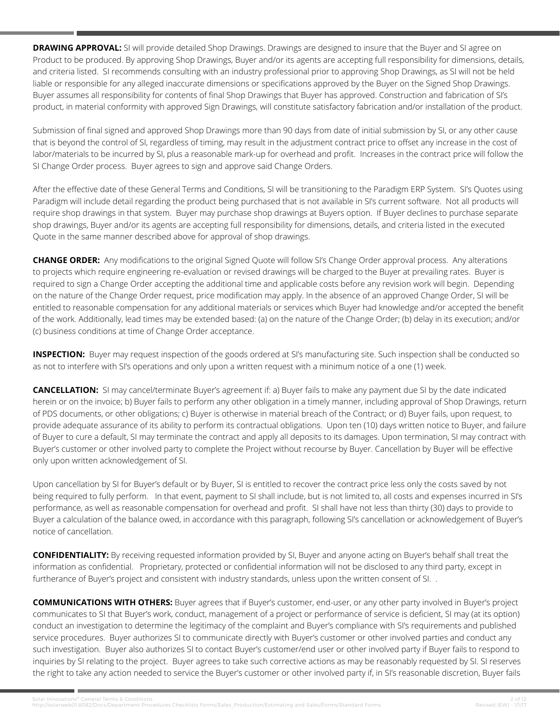**DRAWING APPROVAL:** SI will provide detailed Shop Drawings. Drawings are designed to insure that the Buyer and SI agree on Product to be produced. By approving Shop Drawings, Buyer and/or its agents are accepting full responsibility for dimensions, details, and criteria listed. SI recommends consulting with an industry professional prior to approving Shop Drawings, as SI will not be held liable or responsible for any alleged inaccurate dimensions or specifications approved by the Buyer on the Signed Shop Drawings. Buyer assumes all responsibility for contents of final Shop Drawings that Buyer has approved. Construction and fabrication of SI's product, in material conformity with approved Sign Drawings, will constitute satisfactory fabrication and/or installation of the product.

Submission of final signed and approved Shop Drawings more than 90 days from date of initial submission by SI, or any other cause that is beyond the control of SI, regardless of timing, may result in the adjustment contract price to offset any increase in the cost of labor/materials to be incurred by SI, plus a reasonable mark-up for overhead and profit. Increases in the contract price will follow the SI Change Order process. Buyer agrees to sign and approve said Change Orders.

After the effective date of these General Terms and Conditions, SI will be transitioning to the Paradigm ERP System. SI's Quotes using Paradigm will include detail regarding the product being purchased that is not available in SI's current software. Not all products will require shop drawings in that system. Buyer may purchase shop drawings at Buyers option. If Buyer declines to purchase separate shop drawings, Buyer and/or its agents are accepting full responsibility for dimensions, details, and criteria listed in the executed Quote in the same manner described above for approval of shop drawings.

**CHANGE ORDER:** Any modifications to the original Signed Quote will follow SI's Change Order approval process. Any alterations to projects which require engineering re-evaluation or revised drawings will be charged to the Buyer at prevailing rates. Buyer is required to sign a Change Order accepting the additional time and applicable costs before any revision work will begin. Depending on the nature of the Change Order request, price modification may apply. In the absence of an approved Change Order, SI will be entitled to reasonable compensation for any additional materials or services which Buyer had knowledge and/or accepted the benefit of the work. Additionally, lead times may be extended based: (a) on the nature of the Change Order; (b) delay in its execution; and/or (c) business conditions at time of Change Order acceptance.

**INSPECTION:** Buyer may request inspection of the goods ordered at SI's manufacturing site. Such inspection shall be conducted so as not to interfere with SI's operations and only upon a written request with a minimum notice of a one (1) week.

**CANCELLATION:** SI may cancel/terminate Buyer's agreement if: a) Buyer fails to make any payment due SI by the date indicated herein or on the invoice; b) Buyer fails to perform any other obligation in a timely manner, including approval of Shop Drawings, return of PDS documents, or other obligations; c) Buyer is otherwise in material breach of the Contract; or d) Buyer fails, upon request, to provide adequate assurance of its ability to perform its contractual obligations. Upon ten (10) days written notice to Buyer, and failure of Buyer to cure a default, SI may terminate the contract and apply all deposits to its damages. Upon termination, SI may contract with Buyer's customer or other involved party to complete the Project without recourse by Buyer. Cancellation by Buyer will be effective only upon written acknowledgement of SI.

Upon cancellation by SI for Buyer's default or by Buyer, SI is entitled to recover the contract price less only the costs saved by not being required to fully perform. In that event, payment to SI shall include, but is not limited to, all costs and expenses incurred in SI's performance, as well as reasonable compensation for overhead and profit. SI shall have not less than thirty (30) days to provide to Buyer a calculation of the balance owed, in accordance with this paragraph, following SI's cancellation or acknowledgement of Buyer's notice of cancellation.

**CONFIDENTIALITY:** By receiving requested information provided by SI, Buyer and anyone acting on Buyer's behalf shall treat the information as confidential. Proprietary, protected or confidential information will not be disclosed to any third party, except in furtherance of Buyer's project and consistent with industry standards, unless upon the written consent of SI. .

**COMMUNICATIONS WITH OTHERS:** Buyer agrees that if Buyer's customer, end-user, or any other party involved in Buyer's project communicates to SI that Buyer's work, conduct, management of a project or performance of service is deficient, SI may (at its option) conduct an investigation to determine the legitimacy of the complaint and Buyer's compliance with SI's requirements and published service procedures. Buyer authorizes SI to communicate directly with Buyer's customer or other involved parties and conduct any such investigation. Buyer also authorizes SI to contact Buyer's customer/end user or other involved party if Buyer fails to respond to inquiries by SI relating to the project. Buyer agrees to take such corrective actions as may be reasonably requested by SI. SI reserves the right to take any action needed to service the Buyer's customer or other involved party if, in SI's reasonable discretion, Buyer fails

20 11 20 2 2 of 12 conditions® General Terms & Conditions<br>http://solarweb01:8082/Docs/Department Procedures Checklists Forms/Sales\_Production/Estimating and Sales/Forms/Standard Forms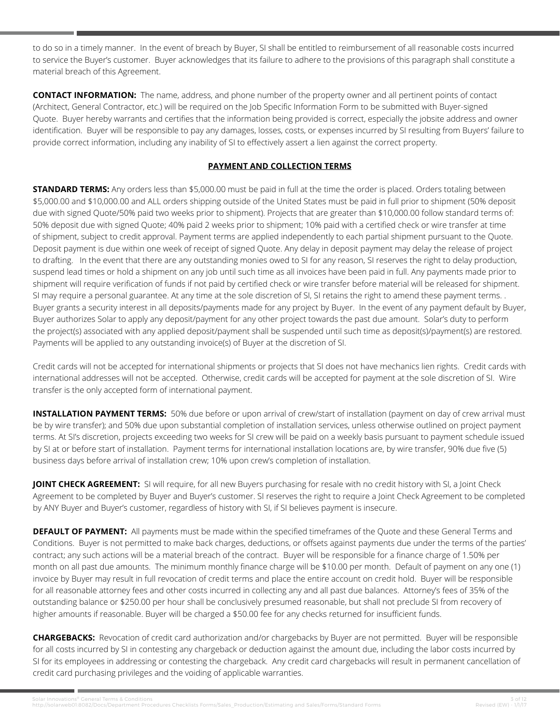to do so in a timely manner. In the event of breach by Buyer, SI shall be entitled to reimbursement of all reasonable costs incurred to service the Buyer's customer. Buyer acknowledges that its failure to adhere to the provisions of this paragraph shall constitute a material breach of this Agreement.

**CONTACT INFORMATION:** The name, address, and phone number of the property owner and all pertinent points of contact (Architect, General Contractor, etc.) will be required on the Job Specific Information Form to be submitted with Buyer-signed Quote. Buyer hereby warrants and certifies that the information being provided is correct, especially the jobsite address and owner identification. Buyer will be responsible to pay any damages, losses, costs, or expenses incurred by SI resulting from Buyers' failure to provide correct information, including any inability of SI to effectively assert a lien against the correct property.

#### **PAYMENT AND COLLECTION TERMS**

**STANDARD TERMS:** Any orders less than \$5,000.00 must be paid in full at the time the order is placed. Orders totaling between \$5,000.00 and \$10,000.00 and ALL orders shipping outside of the United States must be paid in full prior to shipment (50% deposit due with signed Quote/50% paid two weeks prior to shipment). Projects that are greater than \$10,000.00 follow standard terms of: 50% deposit due with signed Quote; 40% paid 2 weeks prior to shipment; 10% paid with a certified check or wire transfer at time of shipment, subject to credit approval. Payment terms are applied independently to each partial shipment pursuant to the Quote. Deposit payment is due within one week of receipt of signed Quote. Any delay in deposit payment may delay the release of project to drafting. In the event that there are any outstanding monies owed to SI for any reason, SI reserves the right to delay production, suspend lead times or hold a shipment on any job until such time as all invoices have been paid in full. Any payments made prior to shipment will require verification of funds if not paid by certified check or wire transfer before material will be released for shipment. SI may require a personal guarantee. At any time at the sole discretion of SI, SI retains the right to amend these payment terms. . Buyer grants a security interest in all deposits/payments made for any project by Buyer. In the event of any payment default by Buyer, Buyer authorizes Solar to apply any deposit/payment for any other project towards the past due amount. Solar's duty to perform the project(s) associated with any applied deposit/payment shall be suspended until such time as deposit(s)/payment(s) are restored. Payments will be applied to any outstanding invoice(s) of Buyer at the discretion of SI.

Credit cards will not be accepted for international shipments or projects that SI does not have mechanics lien rights. Credit cards with international addresses will not be accepted. Otherwise, credit cards will be accepted for payment at the sole discretion of SI. Wire transfer is the only accepted form of international payment.

**INSTALLATION PAYMENT TERMS:** 50% due before or upon arrival of crew/start of installation (payment on day of crew arrival must be by wire transfer); and 50% due upon substantial completion of installation services, unless otherwise outlined on project payment terms. At SI's discretion, projects exceeding two weeks for SI crew will be paid on a weekly basis pursuant to payment schedule issued by SI at or before start of installation. Payment terms for international installation locations are, by wire transfer, 90% due five (5) business days before arrival of installation crew; 10% upon crew's completion of installation.

**JOINT CHECK AGREEMENT:** SI will require, for all new Buyers purchasing for resale with no credit history with SI, a Joint Check Agreement to be completed by Buyer and Buyer's customer. SI reserves the right to require a Joint Check Agreement to be completed by ANY Buyer and Buyer's customer, regardless of history with SI, if SI believes payment is insecure.

**DEFAULT OF PAYMENT:** All payments must be made within the specified timeframes of the Quote and these General Terms and Conditions. Buyer is not permitted to make back charges, deductions, or offsets against payments due under the terms of the parties' contract; any such actions will be a material breach of the contract. Buyer will be responsible for a finance charge of 1.50% per month on all past due amounts. The minimum monthly finance charge will be \$10.00 per month. Default of payment on any one (1) invoice by Buyer may result in full revocation of credit terms and place the entire account on credit hold. Buyer will be responsible for all reasonable attorney fees and other costs incurred in collecting any and all past due balances. Attorney's fees of 35% of the outstanding balance or \$250.00 per hour shall be conclusively presumed reasonable, but shall not preclude SI from recovery of higher amounts if reasonable. Buyer will be charged a \$50.00 fee for any checks returned for insufficient funds.

**CHARGEBACKS:** Revocation of credit card authorization and/or chargebacks by Buyer are not permitted. Buyer will be responsible for all costs incurred by SI in contesting any chargeback or deduction against the amount due, including the labor costs incurred by SI for its employees in addressing or contesting the chargeback. Any credit card chargebacks will result in permanent cancellation of credit card purchasing privileges and the voiding of applicable warranties.

Solar Innovations® General Terms & Conditions 3 of 12 http://solarweb01:8082/Docs/Department Procedures Checklists Forms/Sales\_Production/Estimating and Sales/Forms/Standard Forms Revised (EW) - 1/1/17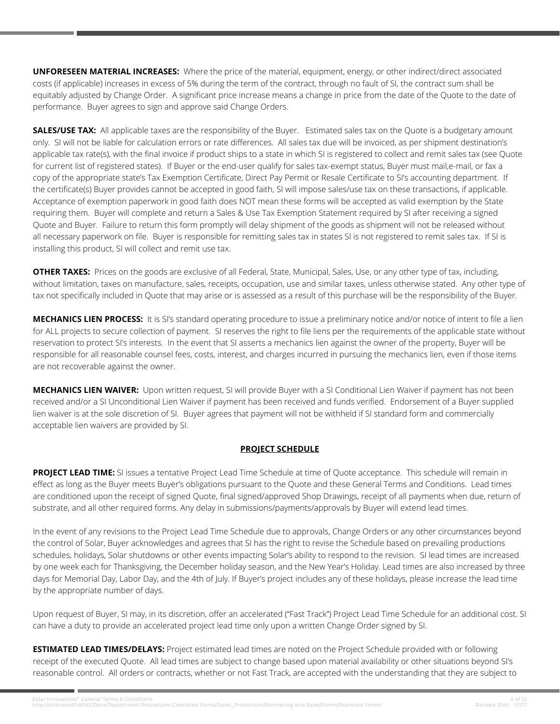**UNFORESEEN MATERIAL INCREASES:** Where the price of the material, equipment, energy, or other indirect/direct associated costs (if applicable) increases in excess of 5% during the term of the contract, through no fault of SI, the contract sum shall be equitably adjusted by Change Order. A significant price increase means a change in price from the date of the Quote to the date of performance. Buyer agrees to sign and approve said Change Orders.

**SALES/USE TAX:** All applicable taxes are the responsibility of the Buyer. Estimated sales tax on the Quote is a budgetary amount only. SI will not be liable for calculation errors or rate differences. All sales tax due will be invoiced, as per shipment destination's applicable tax rate(s), with the final invoice if product ships to a state in which SI is registered to collect and remit sales tax (see Quote for current list of registered states). If Buyer or the end-user qualify for sales tax-exempt status, Buyer must mail, e-mail, or fax a copy of the appropriate state's Tax Exemption Certificate, Direct Pay Permit or Resale Certificate to SI's accounting department. If the certificate(s) Buyer provides cannot be accepted in good faith, SI will impose sales/use tax on these transactions, if applicable. Acceptance of exemption paperwork in good faith does NOT mean these forms will be accepted as valid exemption by the State requiring them. Buyer will complete and return a Sales & Use Tax Exemption Statement required by SI after receiving a signed Quote and Buyer. Failure to return this form promptly will delay shipment of the goods as shipment will not be released without all necessary paperwork on file. Buyer is responsible for remitting sales tax in states SI is not registered to remit sales tax. If SI is installing this product, SI will collect and remit use tax.

**OTHER TAXES:** Prices on the goods are exclusive of all Federal, State, Municipal, Sales, Use, or any other type of tax, including, without limitation, taxes on manufacture, sales, receipts, occupation, use and similar taxes, unless otherwise stated. Any other type of tax not specifically included in Quote that may arise or is assessed as a result of this purchase will be the responsibility of the Buyer.

**MECHANICS LIEN PROCESS:** It is SI's standard operating procedure to issue a preliminary notice and/or notice of intent to file a lien for ALL projects to secure collection of payment. SI reserves the right to file liens per the requirements of the applicable state without reservation to protect SI's interests. In the event that SI asserts a mechanics lien against the owner of the property, Buyer will be responsible for all reasonable counsel fees, costs, interest, and charges incurred in pursuing the mechanics lien, even if those items are not recoverable against the owner.

**MECHANICS LIEN WAIVER:** Upon written request, SI will provide Buyer with a SI Conditional Lien Waiver if payment has not been received and/or a SI Unconditional Lien Waiver if payment has been received and funds verified. Endorsement of a Buyer supplied lien waiver is at the sole discretion of SI. Buyer agrees that payment will not be withheld if SI standard form and commercially acceptable lien waivers are provided by SI.

# **PROJECT SCHEDULE**

**PROJECT LEAD TIME:** SI issues a tentative Project Lead Time Schedule at time of Quote acceptance. This schedule will remain in effect as long as the Buyer meets Buyer's obligations pursuant to the Quote and these General Terms and Conditions. Lead times are conditioned upon the receipt of signed Quote, final signed/approved Shop Drawings, receipt of all payments when due, return of substrate, and all other required forms. Any delay in submissions/payments/approvals by Buyer will extend lead times.

In the event of any revisions to the Project Lead Time Schedule due to approvals, Change Orders or any other circumstances beyond the control of Solar, Buyer acknowledges and agrees that SI has the right to revise the Schedule based on prevailing productions schedules, holidays, Solar shutdowns or other events impacting Solar's ability to respond to the revision. SI lead times are increased by one week each for Thanksgiving, the December holiday season, and the New Year's Holiday. Lead times are also increased by three days for Memorial Day, Labor Day, and the 4th of July. If Buyer's project includes any of these holidays, please increase the lead time by the appropriate number of days.

Upon request of Buyer, SI may, in its discretion, offer an accelerated ("Fast Track") Project Lead Time Schedule for an additional cost. SI can have a duty to provide an accelerated project lead time only upon a written Change Order signed by SI.

**ESTIMATED LEAD TIMES/DELAYS:** Project estimated lead times are noted on the Project Schedule provided with or following receipt of the executed Quote. All lead times are subject to change based upon material availability or other situations beyond SI's reasonable control. All orders or contracts, whether or not Fast Track, are accepted with the understanding that they are subject to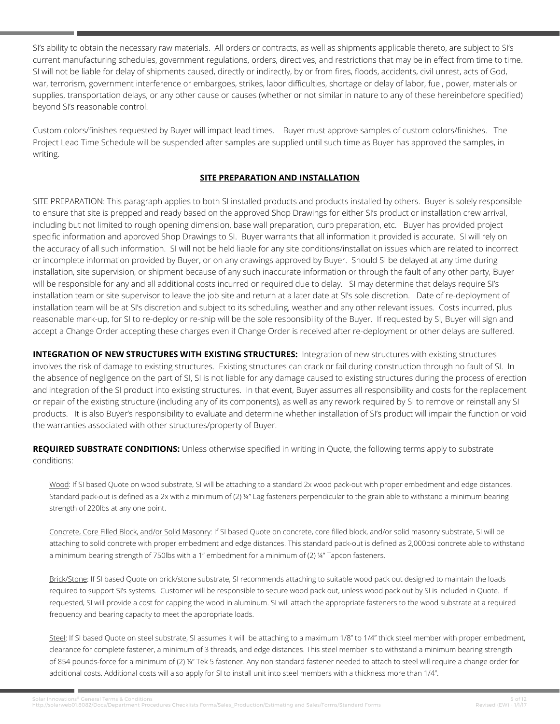SI's ability to obtain the necessary raw materials. All orders or contracts, as well as shipments applicable thereto, are subject to SI's current manufacturing schedules, government regulations, orders, directives, and restrictions that may be in effect from time to time. SI will not be liable for delay of shipments caused, directly or indirectly, by or from fires, floods, accidents, civil unrest, acts of God, war, terrorism, government interference or embargoes, strikes, labor difficulties, shortage or delay of labor, fuel, power, materials or supplies, transportation delays, or any other cause or causes (whether or not similar in nature to any of these hereinbefore specified) beyond SI's reasonable control.

Custom colors/finishes requested by Buyer will impact lead times. Buyer must approve samples of custom colors/finishes. The Project Lead Time Schedule will be suspended after samples are supplied until such time as Buyer has approved the samples, in writing.

#### **SITE PREPARATION AND INSTALLATION**

SITE PREPARATION: This paragraph applies to both SI installed products and products installed by others. Buyer is solely responsible to ensure that site is prepped and ready based on the approved Shop Drawings for either SI's product or installation crew arrival, including but not limited to rough opening dimension, base wall preparation, curb preparation, etc. Buyer has provided project specific information and approved Shop Drawings to SI. Buyer warrants that all information it provided is accurate. SI will rely on the accuracy of all such information. SI will not be held liable for any site conditions/installation issues which are related to incorrect or incomplete information provided by Buyer, or on any drawings approved by Buyer. Should SI be delayed at any time during installation, site supervision, or shipment because of any such inaccurate information or through the fault of any other party, Buyer will be responsible for any and all additional costs incurred or required due to delay. SI may determine that delays require SI's installation team or site supervisor to leave the job site and return at a later date at SI's sole discretion. Date of re-deployment of installation team will be at SI's discretion and subject to its scheduling, weather and any other relevant issues. Costs incurred, plus reasonable mark-up, for SI to re-deploy or re-ship will be the sole responsibility of the Buyer. If requested by SI, Buyer will sign and accept a Change Order accepting these charges even if Change Order is received after re-deployment or other delays are suffered.

**INTEGRATION OF NEW STRUCTURES WITH EXISTING STRUCTURES:** Integration of new structures with existing structures involves the risk of damage to existing structures. Existing structures can crack or fail during construction through no fault of SI. In the absence of negligence on the part of SI, SI is not liable for any damage caused to existing structures during the process of erection and integration of the SI product into existing structures. In that event, Buyer assumes all responsibility and costs for the replacement or repair of the existing structure (including any of its components), as well as any rework required by SI to remove or reinstall any SI products. It is also Buyer's responsibility to evaluate and determine whether installation of SI's product will impair the function or void the warranties associated with other structures/property of Buyer.

**REQUIRED SUBSTRATE CONDITIONS:** Unless otherwise specified in writing in Quote, the following terms apply to substrate conditions:

Wood: If SI based Quote on wood substrate, SI will be attaching to a standard 2x wood pack-out with proper embedment and edge distances. Standard pack-out is defined as a 2x with a minimum of (2) ¼" Lag fasteners perpendicular to the grain able to withstand a minimum bearing strength of 220lbs at any one point.

Concrete, Core Filled Block, and/or Solid Masonry: If SI based Quote on concrete, core filled block, and/or solid masonry substrate, SI will be attaching to solid concrete with proper embedment and edge distances. This standard pack-out is defined as 2,000psi concrete able to withstand a minimum bearing strength of 750lbs with a 1" embedment for a minimum of (2) ¼" Tapcon fasteners.

Brick/Stone: If SI based Quote on brick/stone substrate, SI recommends attaching to suitable wood pack out designed to maintain the loads required to support SI's systems. Customer will be responsible to secure wood pack out, unless wood pack out by SI is included in Quote. If requested, SI will provide a cost for capping the wood in aluminum. SI will attach the appropriate fasteners to the wood substrate at a required frequency and bearing capacity to meet the appropriate loads.

Steel: If SI based Quote on steel substrate, SI assumes it will be attaching to a maximum 1/8" to 1/4" thick steel member with proper embedment, clearance for complete fastener, a minimum of 3 threads, and edge distances. This steel member is to withstand a minimum bearing strength of 854 pounds-force for a minimum of (2) ¼" Tek 5 fastener. Any non standard fastener needed to attach to steel will require a change order for additional costs. Additional costs will also apply for SI to install unit into steel members with a thickness more than 1/4".

5 olar Innovations® General Terms & Conditions<br>http://solarweb01:8082/Docs/Department Procedures Checklists Forms/Sales\_Production/Estimating and Sales/Forms/Standard Forms Revised (EW) - 1/1/17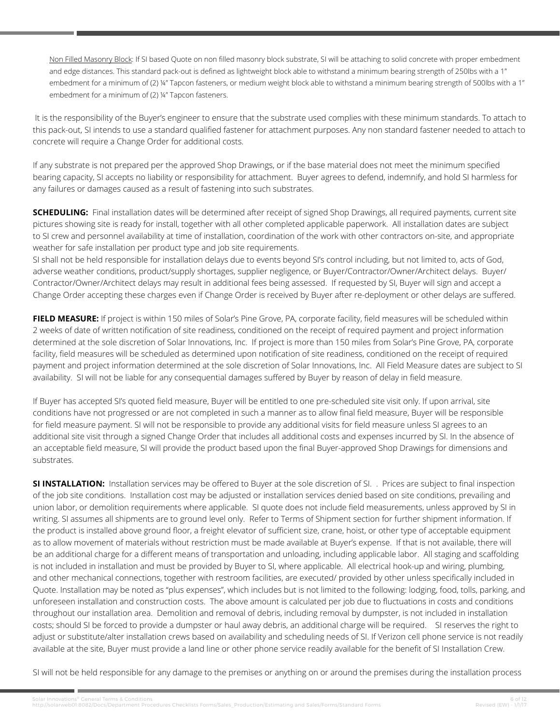Non Filled Masonry Block: If SI based Quote on non filled masonry block substrate, SI will be attaching to solid concrete with proper embedment and edge distances. This standard pack-out is defined as lightweight block able to withstand a minimum bearing strength of 250lbs with a 1" embedment for a minimum of (2) ¼" Tapcon fasteners, or medium weight block able to withstand a minimum bearing strength of 500lbs with a 1" embedment for a minimum of (2) ¼" Tapcon fasteners.

 It is the responsibility of the Buyer's engineer to ensure that the substrate used complies with these minimum standards. To attach to this pack-out, SI intends to use a standard qualified fastener for attachment purposes. Any non standard fastener needed to attach to concrete will require a Change Order for additional costs.

If any substrate is not prepared per the approved Shop Drawings, or if the base material does not meet the minimum specified bearing capacity, SI accepts no liability or responsibility for attachment. Buyer agrees to defend, indemnify, and hold SI harmless for any failures or damages caused as a result of fastening into such substrates.

**SCHEDULING:** Final installation dates will be determined after receipt of signed Shop Drawings, all required payments, current site pictures showing site is ready for install, together with all other completed applicable paperwork. All installation dates are subject to SI crew and personnel availability at time of installation, coordination of the work with other contractors on-site, and appropriate weather for safe installation per product type and job site requirements.

SI shall not be held responsible for installation delays due to events beyond SI's control including, but not limited to, acts of God, adverse weather conditions, product/supply shortages, supplier negligence, or Buyer/Contractor/Owner/Architect delays. Buyer/ Contractor/Owner/Architect delays may result in additional fees being assessed. If requested by SI, Buyer will sign and accept a Change Order accepting these charges even if Change Order is received by Buyer after re-deployment or other delays are suffered.

**FIELD MEASURE:** If project is within 150 miles of Solar's Pine Grove, PA, corporate facility, field measures will be scheduled within 2 weeks of date of written notification of site readiness, conditioned on the receipt of required payment and project information determined at the sole discretion of Solar Innovations, Inc. If project is more than 150 miles from Solar's Pine Grove, PA, corporate facility, field measures will be scheduled as determined upon notification of site readiness, conditioned on the receipt of required payment and project information determined at the sole discretion of Solar Innovations, Inc. All Field Measure dates are subject to SI availability. SI will not be liable for any consequential damages suffered by Buyer by reason of delay in field measure.

If Buyer has accepted SI's quoted field measure, Buyer will be entitled to one pre-scheduled site visit only. If upon arrival, site conditions have not progressed or are not completed in such a manner as to allow final field measure, Buyer will be responsible for field measure payment. SI will not be responsible to provide any additional visits for field measure unless SI agrees to an additional site visit through a signed Change Order that includes all additional costs and expenses incurred by SI. In the absence of an acceptable field measure, SI will provide the product based upon the final Buyer-approved Shop Drawings for dimensions and substrates.

**SI INSTALLATION:** Installation services may be offered to Buyer at the sole discretion of SI. . Prices are subject to final inspection of the job site conditions. Installation cost may be adjusted or installation services denied based on site conditions, prevailing and union labor, or demolition requirements where applicable. SI quote does not include field measurements, unless approved by SI in writing. SI assumes all shipments are to ground level only. Refer to Terms of Shipment section for further shipment information. If the product is installed above ground floor, a freight elevator of sufficient size, crane, hoist, or other type of acceptable equipment as to allow movement of materials without restriction must be made available at Buyer's expense. If that is not available, there will be an additional charge for a different means of transportation and unloading, including applicable labor. All staging and scaffolding is not included in installation and must be provided by Buyer to SI, where applicable. All electrical hook-up and wiring, plumbing, and other mechanical connections, together with restroom facilities, are executed/ provided by other unless specifically included in Quote. Installation may be noted as "plus expenses", which includes but is not limited to the following: lodging, food, tolls, parking, and unforeseen installation and construction costs. The above amount is calculated per job due to fluctuations in costs and conditions throughout our installation area. Demolition and removal of debris, including removal by dumpster, is not included in installation costs; should SI be forced to provide a dumpster or haul away debris, an additional charge will be required. SI reserves the right to adjust or substitute/alter installation crews based on availability and scheduling needs of SI. If Verizon cell phone service is not readily available at the site, Buyer must provide a land line or other phone service readily available for the benefit of SI Installation Crew.

SI will not be held responsible for any damage to the premises or anything on or around the premises during the installation process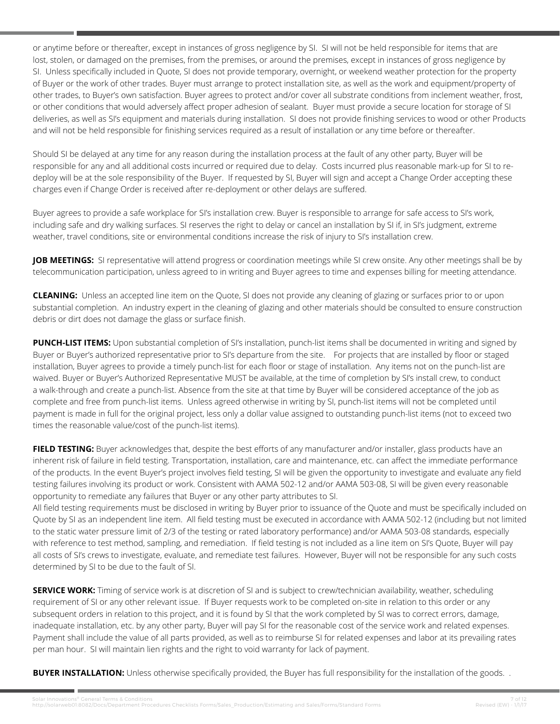or anytime before or thereafter, except in instances of gross negligence by SI. SI will not be held responsible for items that are lost, stolen, or damaged on the premises, from the premises, or around the premises, except in instances of gross negligence by SI. Unless specifically included in Quote, SI does not provide temporary, overnight, or weekend weather protection for the property of Buyer or the work of other trades. Buyer must arrange to protect installation site, as well as the work and equipment/property of other trades, to Buyer's own satisfaction. Buyer agrees to protect and/or cover all substrate conditions from inclement weather, frost, or other conditions that would adversely affect proper adhesion of sealant. Buyer must provide a secure location for storage of SI deliveries, as well as SI's equipment and materials during installation. SI does not provide finishing services to wood or other Products and will not be held responsible for finishing services required as a result of installation or any time before or thereafter.

Should SI be delayed at any time for any reason during the installation process at the fault of any other party, Buyer will be responsible for any and all additional costs incurred or required due to delay. Costs incurred plus reasonable mark-up for SI to redeploy will be at the sole responsibility of the Buyer. If requested by SI, Buyer will sign and accept a Change Order accepting these charges even if Change Order is received after re-deployment or other delays are suffered.

Buyer agrees to provide a safe workplace for SI's installation crew. Buyer is responsible to arrange for safe access to SI's work, including safe and dry walking surfaces. SI reserves the right to delay or cancel an installation by SI if, in SI's judgment, extreme weather, travel conditions, site or environmental conditions increase the risk of injury to SI's installation crew.

**JOB MEETINGS:** SI representative will attend progress or coordination meetings while SI crew onsite. Any other meetings shall be by telecommunication participation, unless agreed to in writing and Buyer agrees to time and expenses billing for meeting attendance.

**CLEANING:** Unless an accepted line item on the Quote, SI does not provide any cleaning of glazing or surfaces prior to or upon substantial completion. An industry expert in the cleaning of glazing and other materials should be consulted to ensure construction debris or dirt does not damage the glass or surface finish.

**PUNCH-LIST ITEMS:** Upon substantial completion of SI's installation, punch-list items shall be documented in writing and signed by Buyer or Buyer's authorized representative prior to SI's departure from the site. For projects that are installed by floor or staged installation, Buyer agrees to provide a timely punch-list for each floor or stage of installation. Any items not on the punch-list are waived. Buyer or Buyer's Authorized Representative MUST be available, at the time of completion by SI's install crew, to conduct a walk-through and create a punch-list. Absence from the site at that time by Buyer will be considered acceptance of the job as complete and free from punch-list items. Unless agreed otherwise in writing by SI, punch-list items will not be completed until payment is made in full for the original project, less only a dollar value assigned to outstanding punch-list items (not to exceed two times the reasonable value/cost of the punch-list items).

**FIELD TESTING:** Buyer acknowledges that, despite the best efforts of any manufacturer and/or installer, glass products have an inherent risk of failure in field testing. Transportation, installation, care and maintenance, etc. can affect the immediate performance of the products. In the event Buyer's project involves field testing, SI will be given the opportunity to investigate and evaluate any field testing failures involving its product or work. Consistent with AAMA 502-12 and/or AAMA 503-08, SI will be given every reasonable opportunity to remediate any failures that Buyer or any other party attributes to SI.

All field testing requirements must be disclosed in writing by Buyer prior to issuance of the Quote and must be specifically included on Quote by SI as an independent line item. All field testing must be executed in accordance with AAMA 502-12 (including but not limited to the static water pressure limit of 2/3 of the testing or rated laboratory performance) and/or AAMA 503-08 standards, especially with reference to test method, sampling, and remediation. If field testing is not included as a line item on SI's Quote, Buyer will pay all costs of SI's crews to investigate, evaluate, and remediate test failures. However, Buyer will not be responsible for any such costs determined by SI to be due to the fault of SI.

**SERVICE WORK:** Timing of service work is at discretion of SI and is subject to crew/technician availability, weather, scheduling requirement of SI or any other relevant issue. If Buyer requests work to be completed on-site in relation to this order or any subsequent orders in relation to this project, and it is found by SI that the work completed by SI was to correct errors, damage, inadequate installation, etc. by any other party, Buyer will pay SI for the reasonable cost of the service work and related expenses. Payment shall include the value of all parts provided, as well as to reimburse SI for related expenses and labor at its prevailing rates per man hour. SI will maintain lien rights and the right to void warranty for lack of payment.

**BUYER INSTALLATION:** Unless otherwise specifically provided, the Buyer has full responsibility for the installation of the goods. .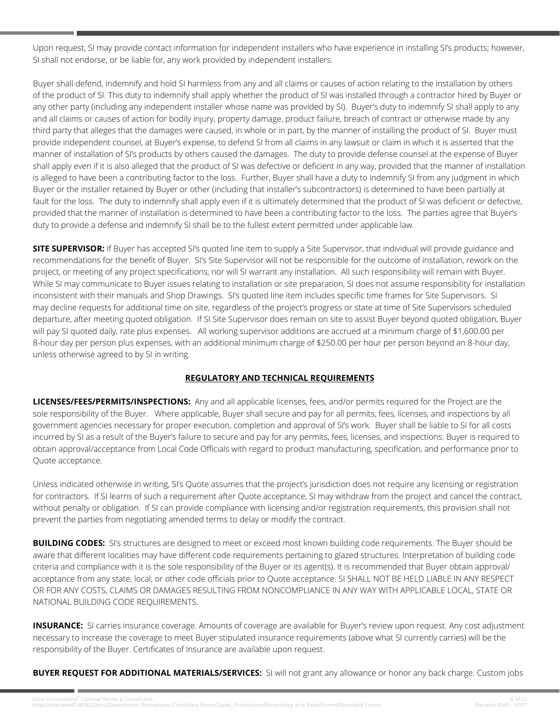Upon request, SI may provide contact information for independent installers who have experience in installing SI's products; however, SI shall not endorse, or be liable for, any work provided by independent installers.

Buyer shall defend, indemnify and hold SI harmless from any and all claims or causes of action relating to the installation by others of the product of SI. This duty to indemnify shall apply whether the product of SI was installed through a contractor hired by Buyer or any other party (including any independent installer whose name was provided by SI). Buyer's duty to indemnify SI shall apply to any and all claims or causes of action for bodily injury, property damage, product failure, breach of contract or otherwise made by any third party that alleges that the damages were caused, in whole or in part, by the manner of installing the product of SI. Buyer must provide independent counsel, at Buyer's expense, to defend SI from all claims in any lawsuit or claim in which it is asserted that the manner of installation of SI's products by others caused the damages. The duty to provide defense counsel at the expense of Buyer shall apply even if it is also alleged that the product of SI was defective or deficient in any way, provided that the manner of installation is alleged to have been a contributing factor to the loss. Further, Buyer shall have a duty to indemnify SI from any judgment in which Buyer or the installer retained by Buyer or other (including that installer's subcontractors) is determined to have been partially at fault for the loss. The duty to indemnify shall apply even if it is ultimately determined that the product of SI was deficient or defective, provided that the manner of installation is determined to have been a contributing factor to the loss. The parties agree that Buyer's duty to provide a defense and indemnify SI shall be to the fullest extent permitted under applicable law.

**SITE SUPERVISOR:** If Buyer has accepted SI's quoted line item to supply a Site Supervisor, that individual will provide guidance and recommendations for the benefit of Buyer. SI's Site Supervisor will not be responsible for the outcome of installation, rework on the project, or meeting of any project specifications, nor will SI warrant any installation. All such responsibility will remain with Buyer. While SI may communicate to Buyer issues relating to installation or site preparation, SI does not assume responsibility for installation inconsistent with their manuals and Shop Drawings. SI's quoted line item includes specific time frames for Site Supervisors. SI may decline requests for additional time on site, regardless of the project's progress or state at time of Site Supervisors scheduled departure, after meeting quoted obligation. If SI Site Supervisor does remain on site to assist Buyer beyond quoted obligation, Buyer will pay SI quoted daily, rate plus expenses. All working supervisor additions are accrued at a minimum charge of \$1,600.00 per 8-hour day per person plus expenses, with an additional minimum charge of \$250.00 per hour per person beyond an 8-hour day, unless otherwise agreed to by SI in writing.

#### **REGULATORY AND TECHNICAL REQUIREMENTS**

**LICENSES/FEES/PERMITS/INSPECTIONS:** Any and all applicable licenses, fees, and/or permits required for the Project are the sole responsibility of the Buyer. Where applicable, Buyer shall secure and pay for all permits, fees, licenses, and inspections by all government agencies necessary for proper execution, completion and approval of SI's work. Buyer shall be liable to SI for all costs incurred by SI as a result of the Buyer's failure to secure and pay for any permits, fees, licenses, and inspections. Buyer is required to obtain approval/acceptance from Local Code Officials with regard to product manufacturing, specification, and performance prior to Quote acceptance.

Unless indicated otherwise in writing, SI's Quote assumes that the project's jurisdiction does not require any licensing or registration for contractors. If SI learns of such a requirement after Quote acceptance, SI may withdraw from the project and cancel the contract, without penalty or obligation. If SI can provide compliance with licensing and/or registration requirements, this provision shall not prevent the parties from negotiating amended terms to delay or modify the contract.

**BUILDING CODES:** SI's structures are designed to meet or exceed most known building code requirements. The Buyer should be aware that different localities may have different code requirements pertaining to glazed structures. Interpretation of building code criteria and compliance with it is the sole responsibility of the Buyer or its agent(s). It is recommended that Buyer obtain approval/ acceptance from any state, local, or other code officials prior to Quote acceptance. SI SHALL NOT BE HELD LIABLE IN ANY RESPECT OR FOR ANY COSTS, CLAIMS OR DAMAGES RESULTING FROM NONCOMPLIANCE IN ANY WAY WITH APPLICABLE LOCAL, STATE OR NATIONAL BUILDING CODE REQUIREMENTS.

**INSURANCE:** SI carries insurance coverage. Amounts of coverage are available for Buyer's review upon request. Any cost adjustment necessary to increase the coverage to meet Buyer stipulated insurance requirements (above what SI currently carries) will be the responsibility of the Buyer. Certificates of Insurance are available upon request.

**BUYER REQUEST FOR ADDITIONAL MATERIALS/SERVICES:** SI will not grant any allowance or honor any back charge. Custom jobs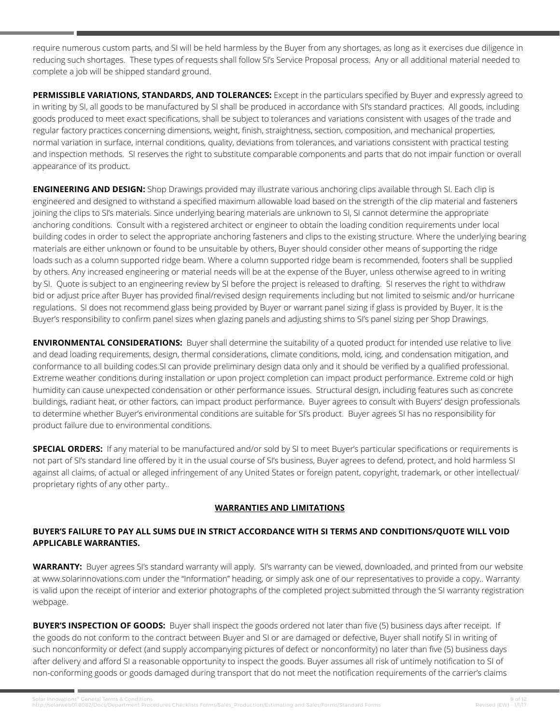require numerous custom parts, and SI will be held harmless by the Buyer from any shortages, as long as it exercises due diligence in reducing such shortages. These types of requests shall follow SI's Service Proposal process. Any or all additional material needed to complete a job will be shipped standard ground.

**PERMISSIBLE VARIATIONS, STANDARDS, AND TOLERANCES:** Except in the particulars specified by Buyer and expressly agreed to in writing by SI, all goods to be manufactured by SI shall be produced in accordance with SI's standard practices. All goods, including goods produced to meet exact specifications, shall be subject to tolerances and variations consistent with usages of the trade and regular factory practices concerning dimensions, weight, finish, straightness, section, composition, and mechanical properties, normal variation in surface, internal conditions, quality, deviations from tolerances, and variations consistent with practical testing and inspection methods. SI reserves the right to substitute comparable components and parts that do not impair function or overall appearance of its product.

**ENGINEERING AND DESIGN:** Shop Drawings provided may illustrate various anchoring clips available through SI. Each clip is engineered and designed to withstand a specified maximum allowable load based on the strength of the clip material and fasteners joining the clips to SI's materials. Since underlying bearing materials are unknown to SI, SI cannot determine the appropriate anchoring conditions. Consult with a registered architect or engineer to obtain the loading condition requirements under local building codes in order to select the appropriate anchoring fasteners and clips to the existing structure. Where the underlying bearing materials are either unknown or found to be unsuitable by others, Buyer should consider other means of supporting the ridge loads such as a column supported ridge beam. Where a column supported ridge beam is recommended, footers shall be supplied by others. Any increased engineering or material needs will be at the expense of the Buyer, unless otherwise agreed to in writing by SI. Quote is subject to an engineering review by SI before the project is released to drafting. SI reserves the right to withdraw bid or adjust price after Buyer has provided final/revised design requirements including but not limited to seismic and/or hurricane regulations. SI does not recommend glass being provided by Buyer or warrant panel sizing if glass is provided by Buyer. It is the Buyer's responsibility to confirm panel sizes when glazing panels and adjusting shims to SI's panel sizing per Shop Drawings.

**ENVIRONMENTAL CONSIDERATIONS:** Buyer shall determine the suitability of a quoted product for intended use relative to live and dead loading requirements, design, thermal considerations, climate conditions, mold, icing, and condensation mitigation, and conformance to all building codes.SI can provide preliminary design data only and it should be verified by a qualified professional. Extreme weather conditions during installation or upon project completion can impact product performance. Extreme cold or high humidity can cause unexpected condensation or other performance issues. Structural design, including features such as concrete buildings, radiant heat, or other factors, can impact product performance. Buyer agrees to consult with Buyers' design professionals to determine whether Buyer's environmental conditions are suitable for SI's product. Buyer agrees SI has no responsibility for product failure due to environmental conditions.

**SPECIAL ORDERS:** If any material to be manufactured and/or sold by SI to meet Buyer's particular specifications or requirements is not part of SI's standard line offered by it in the usual course of SI's business, Buyer agrees to defend, protect, and hold harmless SI against all claims, of actual or alleged infringement of any United States or foreign patent, copyright, trademark, or other intellectual/ proprietary rights of any other party..

#### **WARRANTIES AND LIMITATIONS**

## **BUYER'S FAILURE TO PAY ALL SUMS DUE IN STRICT ACCORDANCE WITH SI TERMS AND CONDITIONS/QUOTE WILL VOID APPLICABLE WARRANTIES.**

**WARRANTY:** Buyer agrees SI's standard warranty will apply. SI's warranty can be viewed, downloaded, and printed from our website at www.solarinnovations.com under the "Information" heading, or simply ask one of our representatives to provide a copy.. Warranty is valid upon the receipt of interior and exterior photographs of the completed project submitted through the SI warranty registration webpage.

**BUYER'S INSPECTION OF GOODS:** Buyer shall inspect the goods ordered not later than five (5) business days after receipt. If the goods do not conform to the contract between Buyer and SI or are damaged or defective, Buyer shall notify SI in writing of such nonconformity or defect (and supply accompanying pictures of defect or nonconformity) no later than five (5) business days after delivery and afford SI a reasonable opportunity to inspect the goods. Buyer assumes all risk of untimely notification to SI of non-conforming goods or goods damaged during transport that do not meet the notification requirements of the carrier's claims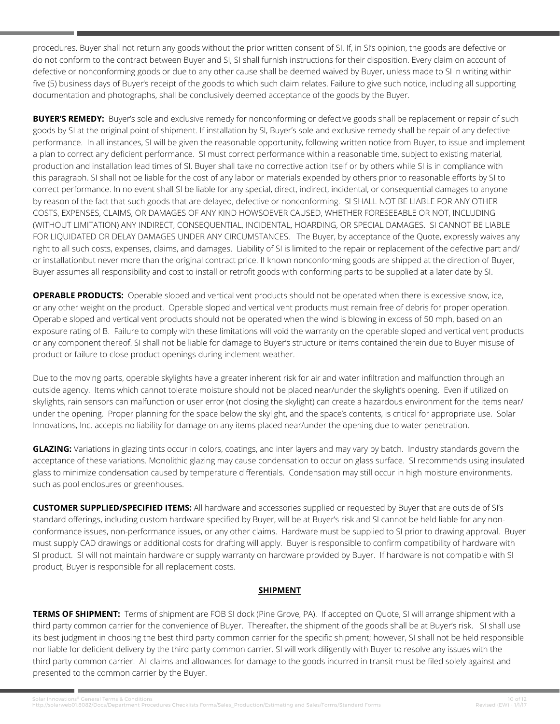procedures. Buyer shall not return any goods without the prior written consent of SI. If, in SI's opinion, the goods are defective or do not conform to the contract between Buyer and SI, SI shall furnish instructions for their disposition. Every claim on account of defective or nonconforming goods or due to any other cause shall be deemed waived by Buyer, unless made to SI in writing within five (5) business days of Buyer's receipt of the goods to which such claim relates. Failure to give such notice, including all supporting documentation and photographs, shall be conclusively deemed acceptance of the goods by the Buyer.

**BUYER'S REMEDY:** Buyer's sole and exclusive remedy for nonconforming or defective goods shall be replacement or repair of such goods by SI at the original point of shipment. If installation by SI, Buyer's sole and exclusive remedy shall be repair of any defective performance. In all instances, SI will be given the reasonable opportunity, following written notice from Buyer, to issue and implement a plan to correct any deficient performance. SI must correct performance within a reasonable time, subject to existing material, production and installation lead times of SI. Buyer shall take no corrective action itself or by others while SI is in compliance with this paragraph. SI shall not be liable for the cost of any labor or materials expended by others prior to reasonable efforts by SI to correct performance. In no event shall SI be liable for any special, direct, indirect, incidental, or consequential damages to anyone by reason of the fact that such goods that are delayed, defective or nonconforming. SI SHALL NOT BE LIABLE FOR ANY OTHER COSTS, EXPENSES, CLAIMS, OR DAMAGES OF ANY KIND HOWSOEVER CAUSED, WHETHER FORESEEABLE OR NOT, INCLUDING (WITHOUT LIMITATION) ANY INDIRECT, CONSEQUENTIAL, INCIDENTAL, HOARDING, OR SPECIAL DAMAGES. SI CANNOT BE LIABLE FOR LIQUIDATED OR DELAY DAMAGES UNDER ANY CIRCUMSTANCES. The Buyer, by acceptance of the Quote, expressly waives any right to all such costs, expenses, claims, and damages. Liability of SI is limited to the repair or replacement of the defective part and/ or installationbut never more than the original contract price. If known nonconforming goods are shipped at the direction of Buyer, Buyer assumes all responsibility and cost to install or retrofit goods with conforming parts to be supplied at a later date by SI.

**OPERABLE PRODUCTS:** Operable sloped and vertical vent products should not be operated when there is excessive snow, ice, or any other weight on the product. Operable sloped and vertical vent products must remain free of debris for proper operation. Operable sloped and vertical vent products should not be operated when the wind is blowing in excess of 50 mph, based on an exposure rating of B. Failure to comply with these limitations will void the warranty on the operable sloped and vertical vent products or any component thereof. SI shall not be liable for damage to Buyer's structure or items contained therein due to Buyer misuse of product or failure to close product openings during inclement weather.

Due to the moving parts, operable skylights have a greater inherent risk for air and water infiltration and malfunction through an outside agency. Items which cannot tolerate moisture should not be placed near/under the skylight's opening. Even if utilized on skylights, rain sensors can malfunction or user error (not closing the skylight) can create a hazardous environment for the items near/ under the opening. Proper planning for the space below the skylight, and the space's contents, is critical for appropriate use. Solar Innovations, Inc. accepts no liability for damage on any items placed near/under the opening due to water penetration.

**GLAZING:** Variations in glazing tints occur in colors, coatings, and inter layers and may vary by batch. Industry standards govern the acceptance of these variations. Monolithic glazing may cause condensation to occur on glass surface. SI recommends using insulated glass to minimize condensation caused by temperature differentials. Condensation may still occur in high moisture environments, such as pool enclosures or greenhouses.

**CUSTOMER SUPPLIED/SPECIFIED ITEMS:** All hardware and accessories supplied or requested by Buyer that are outside of SI's standard offerings, including custom hardware specified by Buyer, will be at Buyer's risk and SI cannot be held liable for any nonconformance issues, non-performance issues, or any other claims. Hardware must be supplied to SI prior to drawing approval. Buyer must supply CAD drawings or additional costs for drafting will apply. Buyer is responsible to confirm compatibility of hardware with SI product. SI will not maintain hardware or supply warranty on hardware provided by Buyer. If hardware is not compatible with SI product, Buyer is responsible for all replacement costs.

#### **SHIPMENT**

**TERMS OF SHIPMENT:** Terms of shipment are FOB SI dock (Pine Grove, PA). If accepted on Quote, SI will arrange shipment with a third party common carrier for the convenience of Buyer. Thereafter, the shipment of the goods shall be at Buyer's risk. SI shall use its best judgment in choosing the best third party common carrier for the specific shipment; however, SI shall not be held responsible nor liable for deficient delivery by the third party common carrier. SI will work diligently with Buyer to resolve any issues with the third party common carrier. All claims and allowances for damage to the goods incurred in transit must be filed solely against and presented to the common carrier by the Buyer.

Solar Innovations® General Terms & Conditions 10 of 12 http://solarweb01:8082/Docs/Department Procedures Checklists Forms/Sales\_Production/Estimating and Sales/Forms/Standard Forms Revised (EW) - 1/1/17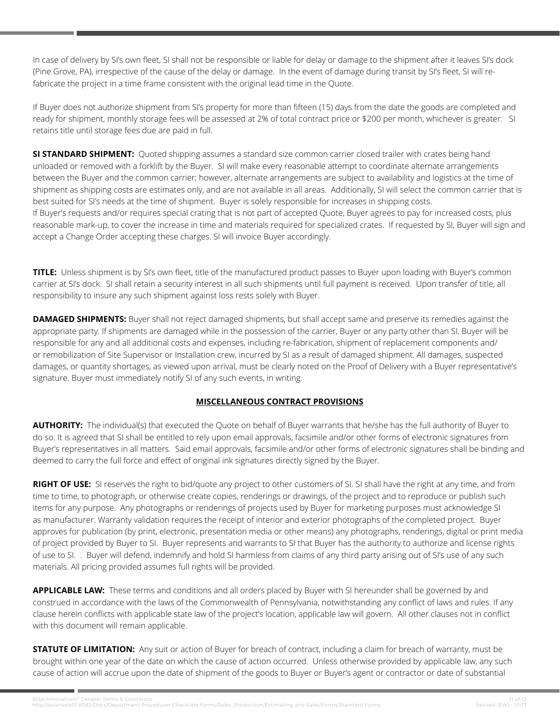In case of delivery by SI's own fleet, SI shall not be responsible or liable for delay or damage to the shipment after it leaves SI's dock (Pine Grove, PA), irrespective of the cause of the delay or damage. In the event of damage during transit by SI's fleet, SI will refabricate the project in a time frame consistent with the original lead time in the Quote.

If Buyer does not authorize shipment from SI's property for more than fifteen (15) days from the date the goods are completed and ready for shipment, monthly storage fees will be assessed at 2% of total contract price or \$200 per month, whichever is greater. SI retains title until storage fees due are paid in full.

**SI STANDARD SHIPMENT:** Quoted shipping assumes a standard size common carrier closed trailer with crates being hand unloaded or removed with a forklift by the Buyer. SI will make every reasonable attempt to coordinate alternate arrangements between the Buyer and the common carrier; however, alternate arrangements are subject to availability and logistics at the time of shipment as shipping costs are estimates only, and are not available in all areas. Additionally, SI will select the common carrier that is best suited for SI's needs at the time of shipment. Buyer is solely responsible for increases in shipping costs. If Buyer's requests and/or requires special crating that is not part of accepted Quote, Buyer agrees to pay for increased costs, plus reasonable mark-up, to cover the increase in time and materials required for specialized crates. If requested by SI, Buyer will sign and accept a Change Order accepting these charges. SI will invoice Buyer accordingly.

**TITLE:** Unless shipment is by SI's own fleet, title of the manufactured product passes to Buyer upon loading with Buyer's common carrier at SI's dock. SI shall retain a security interest in all such shipments until full payment is received. Upon transfer of title, all responsibility to insure any such shipment against loss rests solely with Buyer.

**DAMAGED SHIPMENTS:** Buyer shall not reject damaged shipments, but shall accept same and preserve its remedies against the appropriate party. If shipments are damaged while in the possession of the carrier, Buyer or any party other than SI, Buyer will be responsible for any and all additional costs and expenses, including re-fabrication, shipment of replacement components and/ or remobilization of Site Supervisor or Installation crew, incurred by SI as a result of damaged shipment. All damages, suspected damages, or quantity shortages, as viewed upon arrival, must be clearly noted on the Proof of Delivery with a Buyer representative's signature. Buyer must immediately notify SI of any such events, in writing.

#### **MISCELLANEOUS CONTRACT PROVISIONS**

**AUTHORITY:** The individual(s) that executed the Quote on behalf of Buyer warrants that he/she has the full authority of Buyer to do so. It is agreed that SI shall be entitled to rely upon email approvals, facsimile and/or other forms of electronic signatures from Buyer's representatives in all matters. Said email approvals, facsimile and/or other forms of electronic signatures shall be binding and deemed to carry the full force and effect of original ink signatures directly signed by the Buyer.

**RIGHT OF USE:** SI reserves the right to bid/quote any project to other customers of SI. SI shall have the right at any time, and from time to time, to photograph, or otherwise create copies, renderings or drawings, of the project and to reproduce or publish such items for any purpose. Any photographs or renderings of projects used by Buyer for marketing purposes must acknowledge SI as manufacturer. Warranty validation requires the receipt of interior and exterior photographs of the completed project. Buyer approves for publication (by print, electronic, presentation media or other means) any photographs, renderings, digital or print media of project provided by Buyer to SI. Buyer represents and warrants to SI that Buyer has the authority to authorize and license rights of use to SI. . Buyer will defend, indemnify and hold SI harmless from claims of any third party arising out of SI's use of any such materials. All pricing provided assumes full rights will be provided.

**APPLICABLE LAW:** These terms and conditions and all orders placed by Buyer with SI hereunder shall be governed by and construed in accordance with the laws of the Commonwealth of Pennsylvania, notwithstanding any conflict of laws and rules. If any clause herein conflicts with applicable state law of the project's location, applicable law will govern. All other clauses not in conflict with this document will remain applicable.

**STATUTE OF LIMITATION:** Any suit or action of Buyer for breach of contract, including a claim for breach of warranty, must be brought within one year of the date on which the cause of action occurred. Unless otherwise provided by applicable law, any such cause of action will accrue upon the date of shipment of the goods to Buyer or Buyer's agent or contractor or date of substantial

11 Io f 12 (1) Solar Innovations® General Terms & Conditions<br>http://solarweb01:8082/Docs/Department Procedures Checklists Forms/Sales Production/Estimating and Sales/Forms/Standard Forms Revised (EW) - 1/1/17